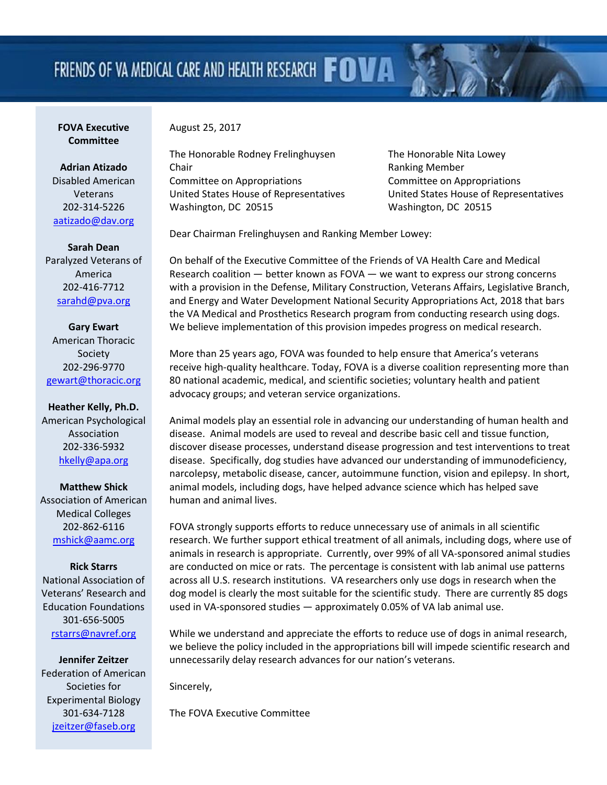## FRIENDS OF VA MEDICAL CARE AND HEALTH RESEARCH FOVA

## **FOVA Executive Committee**

August 25, 2017

**Adrian Atizado** Disabled American Veterans 202-314-5226 [aatizado@dav.org](mailto:aatizado@dav.org)

**Sarah Dean** Paralyzed Veterans of America 202-416-7712 [sarahd@pva.org](mailto:sarahd@pva.org)

**Gary Ewart** American Thoracic Society 202-296-9770 [gewart@thoracic.org](mailto:gewart@thoracic.org)

**Heather Kelly, Ph.D.** American Psychological Association 202-336-5932 [hkelly@apa.org](mailto:hkelly@apa.org)

**Matthew Shick** Association of American Medical Colleges 202-862-6116 [mshick@aamc.org](mailto:mshick@aamc.org)

**Rick Starrs** National Association of

Veterans' Research and Education Foundations 301-656-5005 [rstarrs@navref.org](mailto:rstarrs@navref.org)

**Jennifer Zeitzer** Federation of American Societies for Experimental Biology 301-634-7128 [jzeitzer@faseb.org](mailto:jzeitzer@faseb.org)

The Honorable Rodney Frelinghuysen The Honorable Nita Lowey Chair **Chair Chair Chair Chair Chair Chair Chair Chair Chair Chair Chair Chair Chair Chair Chair Chair Chair Chair Chair Chair Chair Chair Chair Chair Chair Chair Chair** Committee on Appropriations Committee on Appropriations United States House of Representatives United States House of Representatives Washington, DC 20515 Washington, DC 20515

Dear Chairman Frelinghuysen and Ranking Member Lowey:

On behalf of the Executive Committee of the Friends of VA Health Care and Medical Research coalition — better known as FOVA — we want to express our strong concerns with a provision in the Defense, Military Construction, Veterans Affairs, Legislative Branch, and Energy and Water Development National Security Appropriations Act, 2018 that bars the VA Medical and Prosthetics Research program from conducting research using dogs. We believe implementation of this provision impedes progress on medical research.

More than 25 years ago, FOVA was founded to help ensure that America's veterans receive high-quality healthcare. Today, FOVA is a diverse coalition representing more than 80 national academic, medical, and scientific societies; voluntary health and patient advocacy groups; and veteran service organizations.

Animal models play an essential role in advancing our understanding of human health and disease. Animal models are used to reveal and describe basic cell and tissue function, discover disease processes, understand disease progression and test interventions to treat disease. Specifically, dog studies have advanced our understanding of immunodeficiency, narcolepsy, metabolic disease, cancer, autoimmune function, vision and epilepsy. In short, animal models, including dogs, have helped advance science which has helped save human and animal lives.

FOVA strongly supports efforts to reduce unnecessary use of animals in all scientific research. We further support ethical treatment of all animals, including dogs, where use of animals in research is appropriate. Currently, over 99% of all VA-sponsored animal studies are conducted on mice or rats. The percentage is consistent with lab animal use patterns across all U.S. research institutions. VA researchers only use dogs in research when the dog model is clearly the most suitable for the scientific study. There are currently 85 dogs used in VA-sponsored studies — approximately 0.05% of VA lab animal use.

While we understand and appreciate the efforts to reduce use of dogs in animal research, we believe the policy included in the appropriations bill will impede scientific research and unnecessarily delay research advances for our nation's veterans.

Sincerely,

The FOVA Executive Committee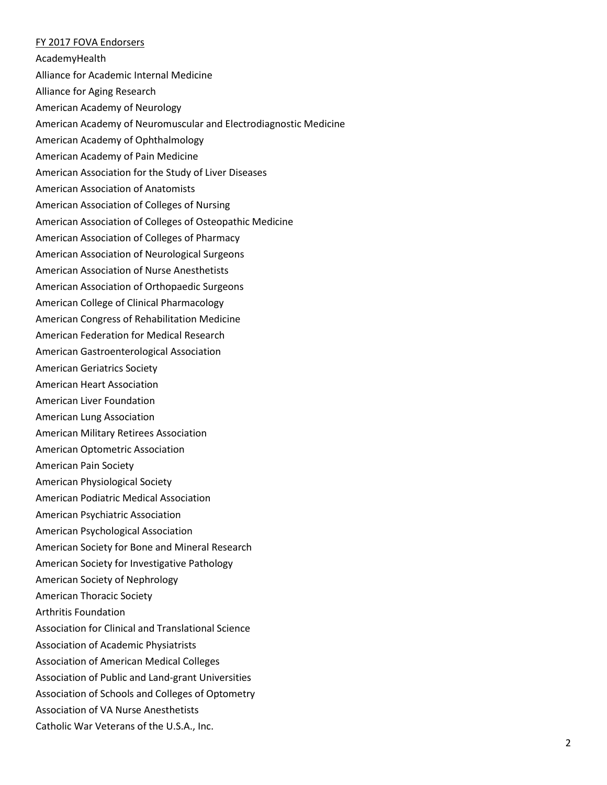## FY 2017 FOVA Endorsers

AcademyHealth

Alliance for Academic Internal Medicine

Alliance for Aging Research

American Academy of Neurology

American Academy of Neuromuscular and Electrodiagnostic Medicine

American Academy of Ophthalmology

American Academy of Pain Medicine

American Association for the Study of Liver Diseases

American Association of Anatomists

American Association of Colleges of Nursing

American Association of Colleges of Osteopathic Medicine

American Association of Colleges of Pharmacy

American Association of Neurological Surgeons

American Association of Nurse Anesthetists

American Association of Orthopaedic Surgeons

American College of Clinical Pharmacology

American Congress of Rehabilitation Medicine

American Federation for Medical Research

American Gastroenterological Association

American Geriatrics Society

American Heart Association

American Liver Foundation

American Lung Association

American Military Retirees Association

American Optometric Association

American Pain Society

American Physiological Society

American Podiatric Medical Association

American Psychiatric Association

American Psychological Association

American Society for Bone and Mineral Research

American Society for Investigative Pathology

American Society of Nephrology

American Thoracic Society

Arthritis Foundation

Association for Clinical and Translational Science

Association of Academic Physiatrists

Association of American Medical Colleges

Association of Public and Land-grant Universities

Association of Schools and Colleges of Optometry

Association of VA Nurse Anesthetists

Catholic War Veterans of the U.S.A., Inc.